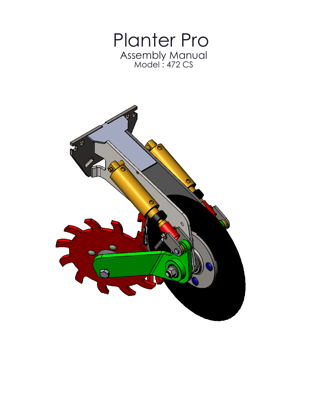

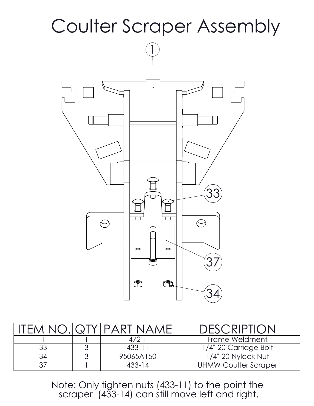

|    | <b><i>OTYIPART NAME</i></b> | <b>DESCRIPTION</b>          |
|----|-----------------------------|-----------------------------|
|    | $472-1$                     | Frame Weldment              |
| 33 | $433 - 11$                  | 1/4"-20 Carriage Bolt       |
|    | 95065A150                   | 1/4"-20 Nylock Nut          |
|    | $433 - 14$                  | <b>UHMW Coulter Scraper</b> |

Note: Only tighten nuts (433-11) to the point the scraper (433-14) can still move left and right.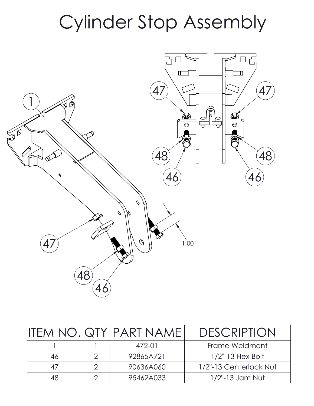## Cylinder Stop Assembly



|    | <b>IITEM NO. QTY PART NAME!</b> | <b>DESCRIPTION</b>     |
|----|---------------------------------|------------------------|
|    | 472-01                          | Frame Weldment         |
| 46 | 92865A721                       | $1/2$ "-13 Hex Bolt    |
|    | 90636A060                       | 1/2"-13 Centerlock Nut |
| 48 | 95462A033                       | $1/2$ "-13 Jam Nut     |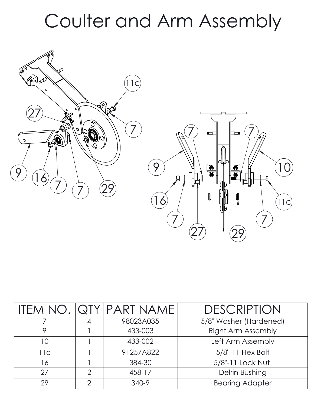#### Coulter and Arm Assembly



|     |   | ITEM NO. QTY PART NAME | <b>DESCRIPTION</b>        |
|-----|---|------------------------|---------------------------|
|     |   | 98023A035              | 5/8" Washer (Hardened)    |
|     |   | 433-003                | <b>Right Arm Assembly</b> |
| 10  |   | 433-002                | Left Arm Assembly         |
| 11c |   | 91257A822              | 5/8"-11 Hex Bolt          |
| 16  |   | 384-30                 | 5/8"-11 Lock Nut          |
| 27  | ⌒ | 458-17                 | Delrin Bushing            |
| 29  | ⌒ | 340-9                  | <b>Bearing Adapter</b>    |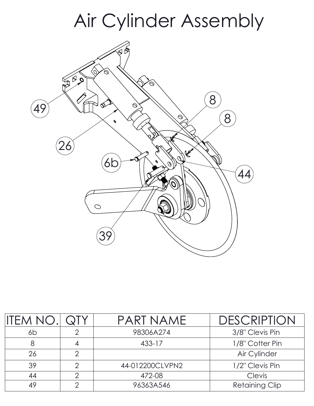### Air Cylinder Assembly



| <b>IITEM NO</b> |   | PART NAME       | <b>DESCRIPTION</b>    |
|-----------------|---|-----------------|-----------------------|
| 6b              |   | 98306A274       | 3/8" Clevis Pin       |
|                 |   | 433-17          | 1/8" Cotter Pin       |
| 26              | ⌒ |                 | Air Cylinder          |
| 39              |   | 44-012200CLVPN2 | 1/2" Clevis Pin       |
| 44              | ⌒ | 472-08          | Clevis                |
| 49              |   | 96363A546       | <b>Retaining Clip</b> |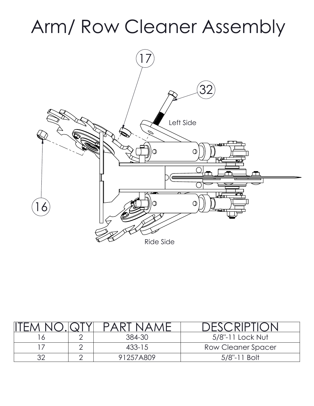# Arm/ Row Cleaner Assembly



|  | $\triangle \vdash$ |                           |
|--|--------------------|---------------------------|
|  | 384-30             | 5/8"-11 Lock Nut          |
|  | $433 - 15$         | <b>Row Cleaner Spacer</b> |
|  | 91257A809          | l Bolt<br>$5/8$ "-1       |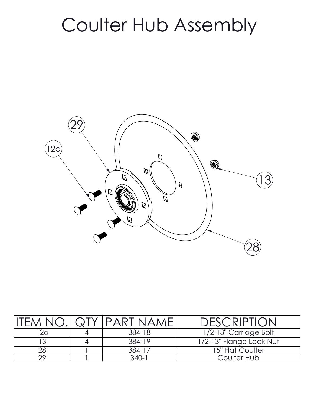## Coulter Hub Assembly



| FFAA NOP | $\bigcap$ $\bigcap$ | <b>IPART NAMEI</b> | DESCRIPTION             |
|----------|---------------------|--------------------|-------------------------|
| 12a      |                     | 384-18             | 1/2-13" Carriage Bolt   |
|          |                     | 384-19             | 1/2-13" Flange Lock Nut |
|          |                     | 384-17             | 15" Flat Coulter        |
| ာဝ       |                     | 340-1              | Coulter Hub             |